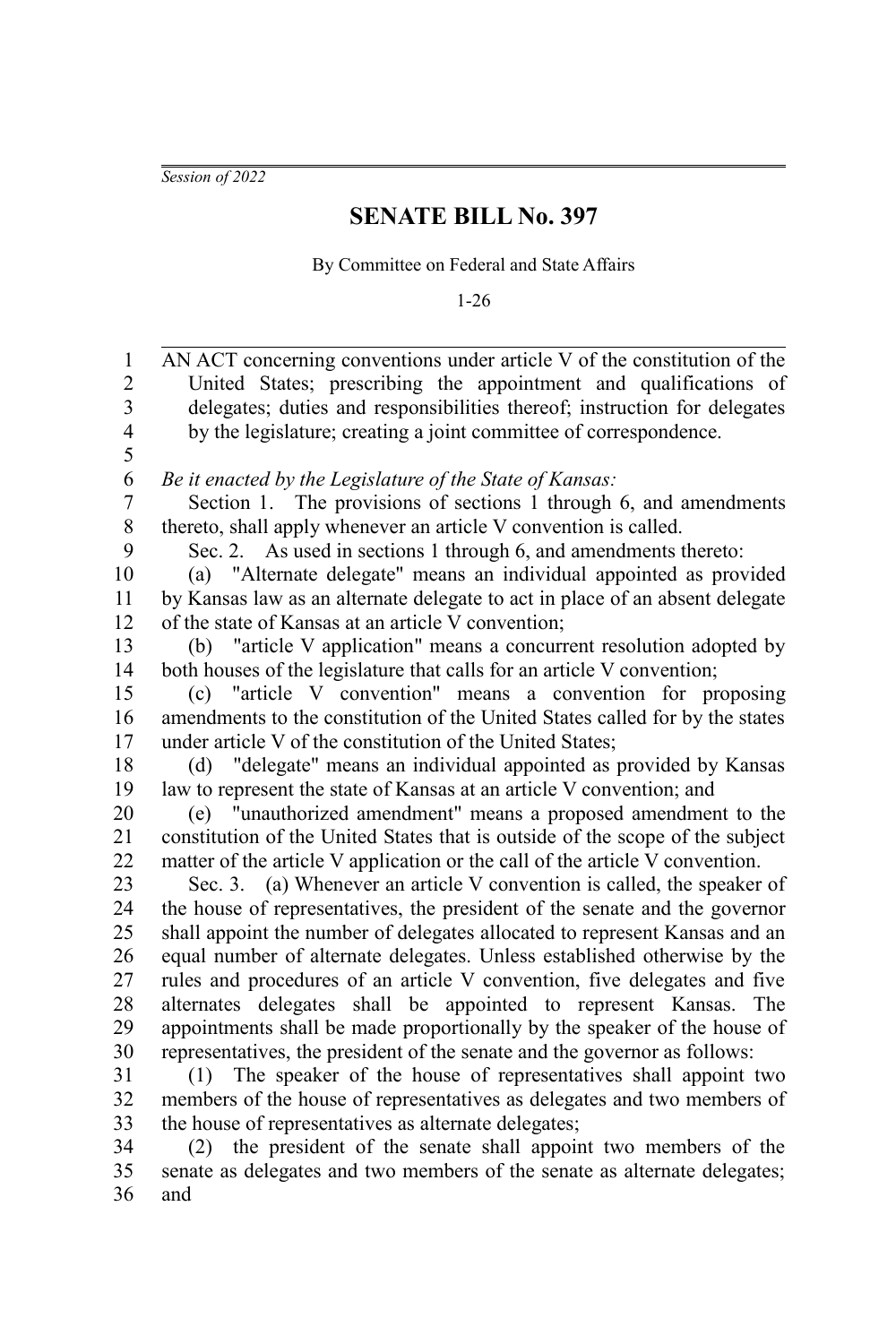*Session of 2022*

## **SENATE BILL No. 397**

By Committee on Federal and State Affairs

1-26

| 1                       | AN ACT concerning conventions under article V of the constitution of the      |
|-------------------------|-------------------------------------------------------------------------------|
| $\overline{c}$          | United States; prescribing the appointment and qualifications of              |
| $\overline{\mathbf{3}}$ | delegates; duties and responsibilities thereof; instruction for delegates     |
| $\overline{4}$          | by the legislature; creating a joint committee of correspondence.             |
| 5                       |                                                                               |
| 6                       | Be it enacted by the Legislature of the State of Kansas:                      |
| 7                       | Section 1. The provisions of sections 1 through 6, and amendments             |
| $\,$ $\,$               | thereto, shall apply whenever an article V convention is called.              |
| 9                       | Sec. 2. As used in sections 1 through 6, and amendments thereto:              |
| 10                      | (a) "Alternate delegate" means an individual appointed as provided            |
| 11                      | by Kansas law as an alternate delegate to act in place of an absent delegate  |
| 12                      | of the state of Kansas at an article V convention;                            |
| 13                      | (b) "article V application" means a concurrent resolution adopted by          |
| 14                      | both houses of the legislature that calls for an article V convention;        |
| 15                      | "article V convention" means a convention for proposing<br>(c)                |
| 16                      | amendments to the constitution of the United States called for by the states  |
| 17                      | under article V of the constitution of the United States;                     |
| 18                      | (d) "delegate" means an individual appointed as provided by Kansas            |
| 19                      | law to represent the state of Kansas at an article V convention; and          |
| 20                      | (e) "unauthorized amendment" means a proposed amendment to the                |
| 21                      | constitution of the United States that is outside of the scope of the subject |
| 22                      | matter of the article V application or the call of the article V convention.  |
| 23                      | Sec. 3. (a) Whenever an article V convention is called, the speaker of        |
| 24                      | the house of representatives, the president of the senate and the governor    |
| 25                      | shall appoint the number of delegates allocated to represent Kansas and an    |
| 26                      | equal number of alternate delegates. Unless established otherwise by the      |
| 27                      | rules and procedures of an article V convention, five delegates and five      |
| 28                      | alternates delegates shall be appointed to represent Kansas. The              |
| 29                      | appointments shall be made proportionally by the speaker of the house of      |
| 30                      | representatives, the president of the senate and the governor as follows:     |
| 31                      | (1) The speaker of the house of representatives shall appoint two             |
| 32                      | members of the house of representatives as delegates and two members of       |
| 33                      | the house of representatives as alternate delegates;                          |
| 34                      | (2) the president of the senate shall appoint two members of the              |

senate as delegates and two members of the senate as alternate delegates; and 34 35 36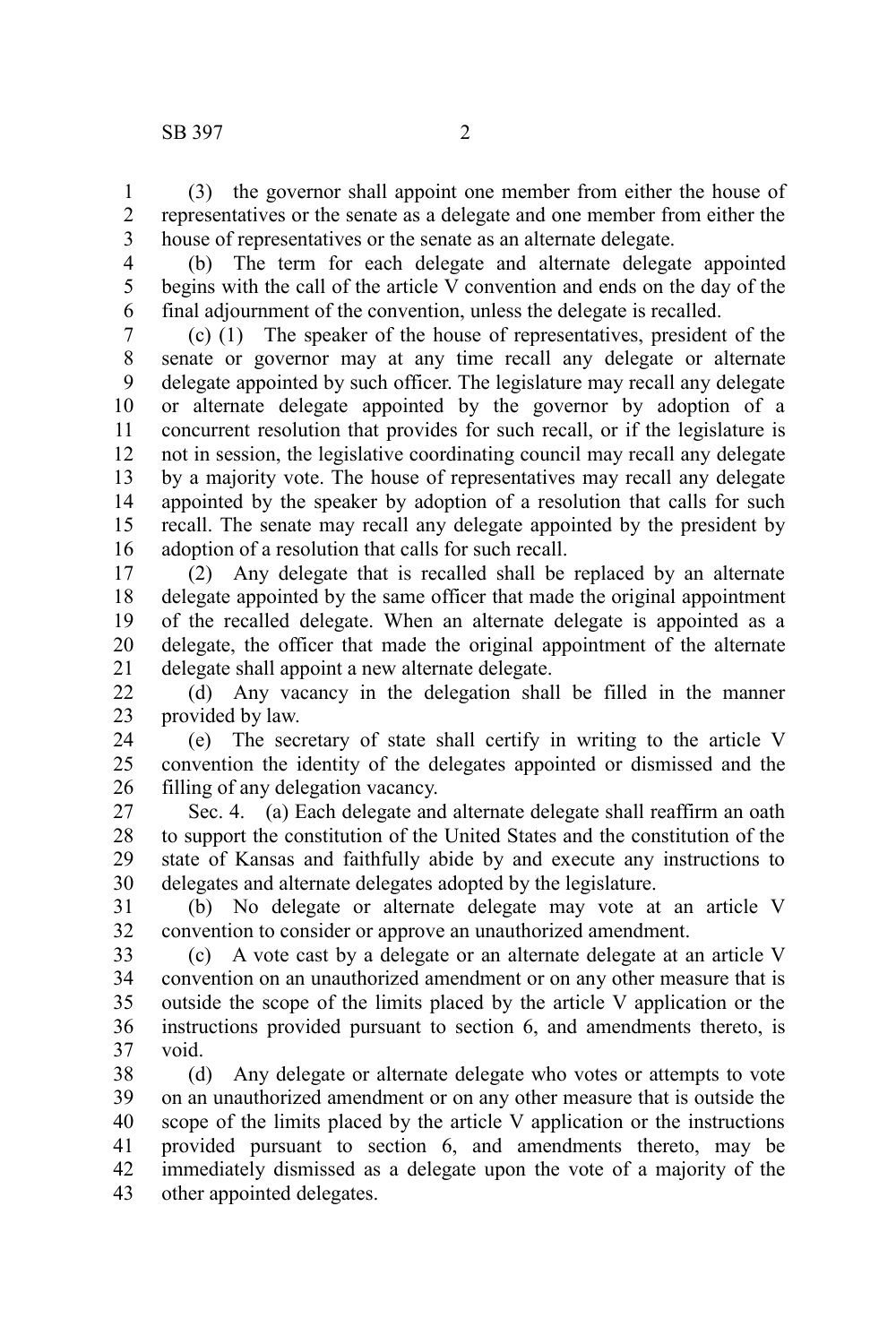(3) the governor shall appoint one member from either the house of representatives or the senate as a delegate and one member from either the house of representatives or the senate as an alternate delegate. 1 2 3

4 5

6

(b) The term for each delegate and alternate delegate appointed begins with the call of the article V convention and ends on the day of the final adjournment of the convention, unless the delegate is recalled.

(c) (1) The speaker of the house of representatives, president of the senate or governor may at any time recall any delegate or alternate delegate appointed by such officer. The legislature may recall any delegate or alternate delegate appointed by the governor by adoption of a concurrent resolution that provides for such recall, or if the legislature is not in session, the legislative coordinating council may recall any delegate by a majority vote. The house of representatives may recall any delegate appointed by the speaker by adoption of a resolution that calls for such recall. The senate may recall any delegate appointed by the president by adoption of a resolution that calls for such recall. 7 8 9 10 11 12 13 14 15 16

(2) Any delegate that is recalled shall be replaced by an alternate delegate appointed by the same officer that made the original appointment of the recalled delegate. When an alternate delegate is appointed as a delegate, the officer that made the original appointment of the alternate delegate shall appoint a new alternate delegate. 17 18 19 20 21

(d) Any vacancy in the delegation shall be filled in the manner provided by law. 22 23

(e) The secretary of state shall certify in writing to the article V convention the identity of the delegates appointed or dismissed and the filling of any delegation vacancy. 24 25 26

Sec. 4. (a) Each delegate and alternate delegate shall reaffirm an oath to support the constitution of the United States and the constitution of the state of Kansas and faithfully abide by and execute any instructions to delegates and alternate delegates adopted by the legislature. 27 28 29 30

(b) No delegate or alternate delegate may vote at an article V convention to consider or approve an unauthorized amendment. 31 32

(c) A vote cast by a delegate or an alternate delegate at an article V convention on an unauthorized amendment or on any other measure that is outside the scope of the limits placed by the article V application or the instructions provided pursuant to section 6, and amendments thereto, is void. 33 34 35 36 37

(d) Any delegate or alternate delegate who votes or attempts to vote on an unauthorized amendment or on any other measure that is outside the scope of the limits placed by the article V application or the instructions provided pursuant to section 6, and amendments thereto, may be immediately dismissed as a delegate upon the vote of a majority of the other appointed delegates. 38 39 40 41 42 43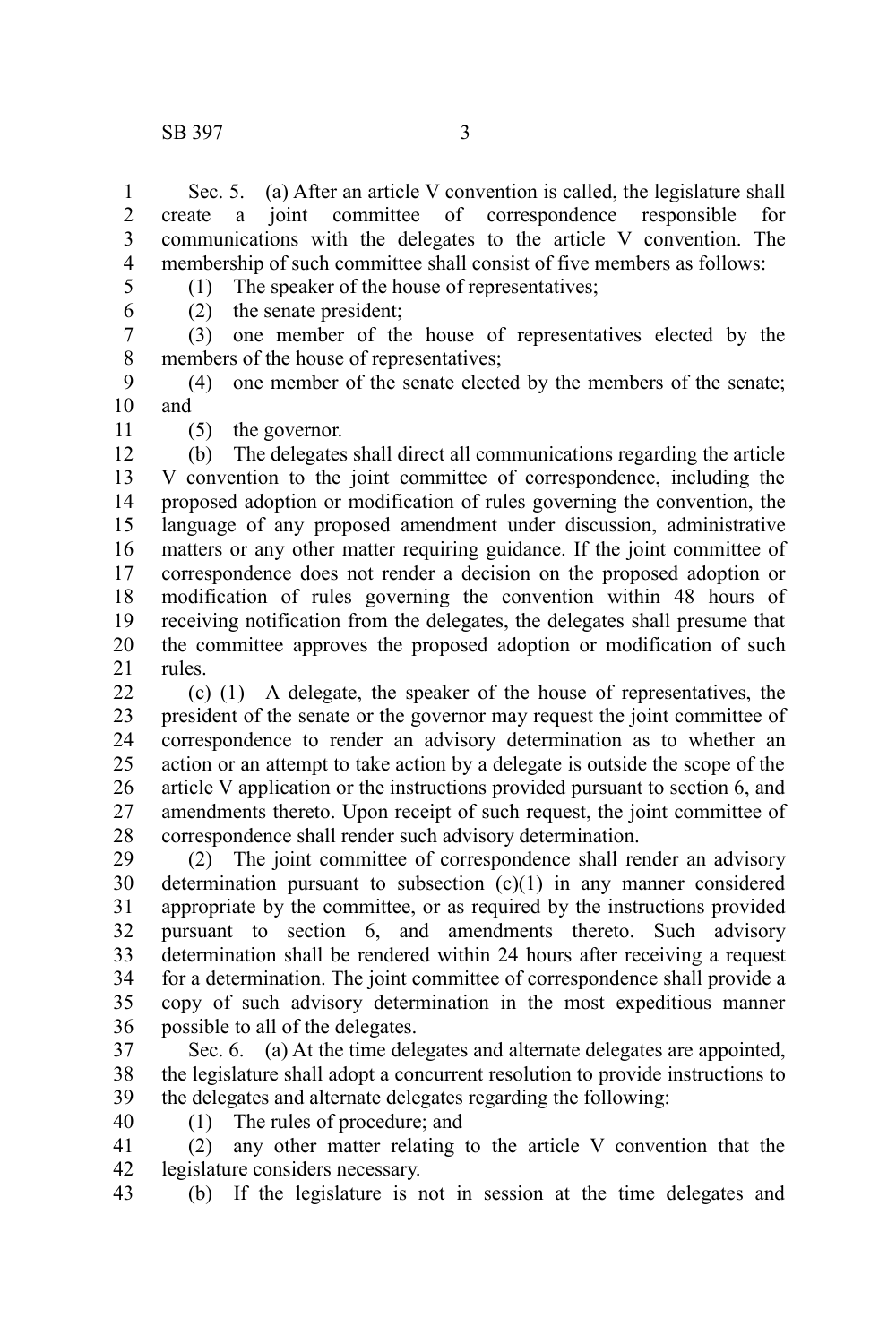Sec. 5. (a) After an article V convention is called, the legislature shall ate a joint committee of correspondence responsible for create a joint committee of correspondence responsible for communications with the delegates to the article V convention. The membership of such committee shall consist of five members as follows: 1 2 3 4

(1) The speaker of the house of representatives;

5 6

(2) the senate president;

(3) one member of the house of representatives elected by the members of the house of representatives; 7 8

- (4) one member of the senate elected by the members of the senate; and 9 10
- 11

(5) the governor.

(b) The delegates shall direct all communications regarding the article V convention to the joint committee of correspondence, including the proposed adoption or modification of rules governing the convention, the language of any proposed amendment under discussion, administrative matters or any other matter requiring guidance. If the joint committee of correspondence does not render a decision on the proposed adoption or modification of rules governing the convention within 48 hours of receiving notification from the delegates, the delegates shall presume that the committee approves the proposed adoption or modification of such rules. 12 13 14 15 16 17 18 19 20 21

(c) (1) A delegate, the speaker of the house of representatives, the president of the senate or the governor may request the joint committee of correspondence to render an advisory determination as to whether an action or an attempt to take action by a delegate is outside the scope of the article V application or the instructions provided pursuant to section 6, and amendments thereto. Upon receipt of such request, the joint committee of correspondence shall render such advisory determination.  $22$ 23 24 25 26 27 28

(2) The joint committee of correspondence shall render an advisory determination pursuant to subsection  $(c)(1)$  in any manner considered appropriate by the committee, or as required by the instructions provided pursuant to section 6, and amendments thereto. Such advisory determination shall be rendered within 24 hours after receiving a request for a determination. The joint committee of correspondence shall provide a copy of such advisory determination in the most expeditious manner possible to all of the delegates. 29 30 31 32 33 34 35 36

Sec. 6. (a) At the time delegates and alternate delegates are appointed, the legislature shall adopt a concurrent resolution to provide instructions to the delegates and alternate delegates regarding the following: 37 38 39

40

- (1) The rules of procedure; and
- (2) any other matter relating to the article V convention that the legislature considers necessary. 41 42
- (b) If the legislature is not in session at the time delegates and 43